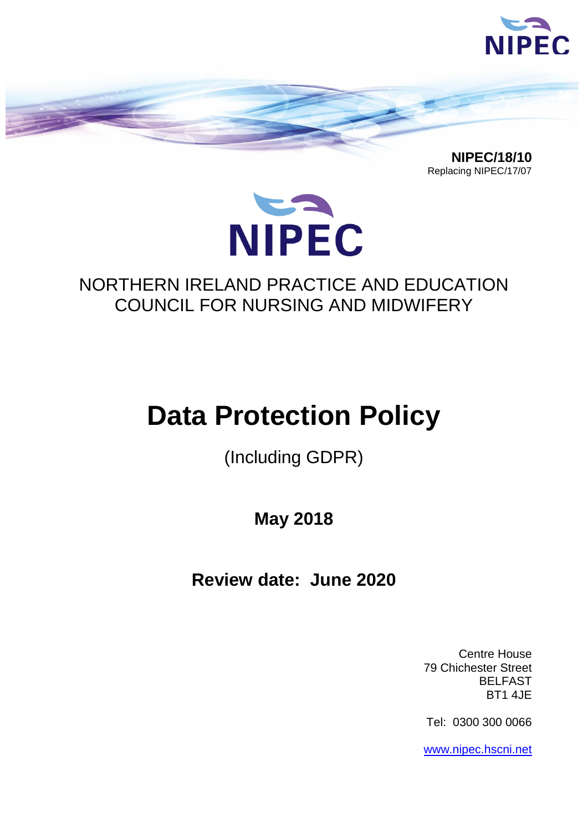

 **NIPEC/18/10** Replacing NIPEC/17/07



# NORTHERN IRELAND PRACTICE AND EDUCATION COUNCIL FOR NURSING AND MIDWIFERY

# **Data Protection Policy**

(Including GDPR)

**May 2018**

**Review date: June 2020**

Centre House 79 Chichester Street BELFAST BT1 4JE

Tel: 0300 300 0066

[www.nipec.hscni.net](http://www.nipec.hscni.net/)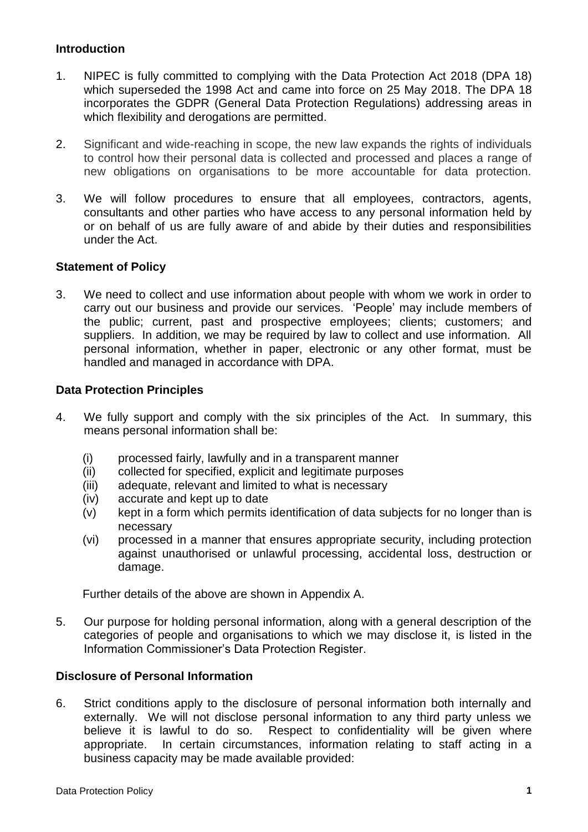#### **Introduction**

- 1. NIPEC is fully committed to complying with the Data Protection Act 2018 (DPA 18) which superseded the 1998 Act and came into force on 25 May 2018. The DPA 18 incorporates the GDPR (General Data Protection Regulations) addressing areas in which flexibility and derogations are permitted.
- 2. Significant and wide-reaching in scope, the new law expands the rights of individuals to control how their personal data is collected and processed and places a range of new obligations on organisations to be more accountable for data protection.
- 3. We will follow procedures to ensure that all employees, contractors, agents, consultants and other parties who have access to any personal information held by or on behalf of us are fully aware of and abide by their duties and responsibilities under the Act.

#### **Statement of Policy**

3. We need to collect and use information about people with whom we work in order to carry out our business and provide our services. 'People' may include members of the public; current, past and prospective employees; clients; customers; and suppliers. In addition, we may be required by law to collect and use information. All personal information, whether in paper, electronic or any other format, must be handled and managed in accordance with DPA.

#### **Data Protection Principles**

- 4. We fully support and comply with the six principles of the Act. In summary, this means personal information shall be:
	- (i) processed fairly, lawfully and in a transparent manner
	- (ii) collected for specified, explicit and legitimate purposes
	- (iii) adequate, relevant and limited to what is necessary
	- (iv) accurate and kept up to date
	- (v) kept in a form which permits identification of data subjects for no longer than is necessary
	- (vi) processed in a manner that ensures appropriate security, including protection against unauthorised or unlawful processing, accidental loss, destruction or damage.

Further details of the above are shown in Appendix A.

5. Our purpose for holding personal information, along with a general description of the categories of people and organisations to which we may disclose it, is listed in the Information Commissioner's Data Protection Register.

#### **Disclosure of Personal Information**

6. Strict conditions apply to the disclosure of personal information both internally and externally. We will not disclose personal information to any third party unless we believe it is lawful to do so. Respect to confidentiality will be given where appropriate. In certain circumstances, information relating to staff acting in a business capacity may be made available provided: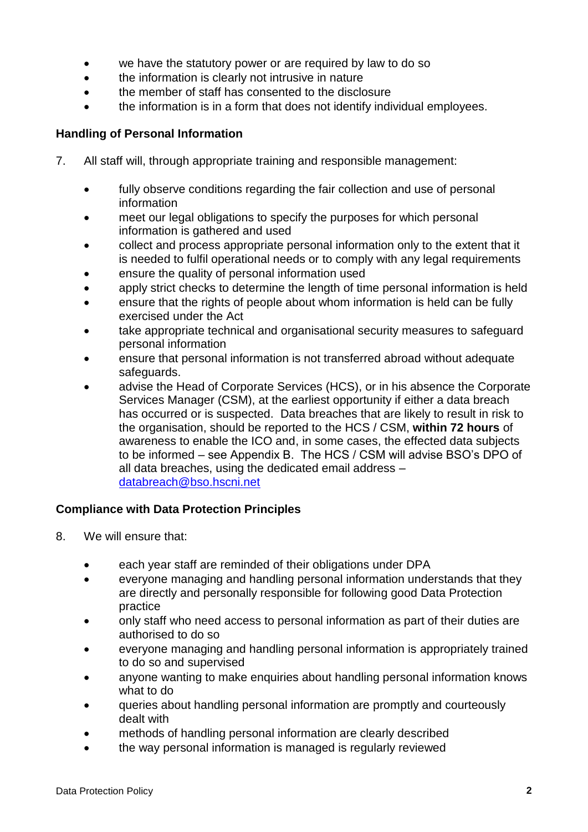- we have the statutory power or are required by law to do so
- the information is clearly not intrusive in nature
- the member of staff has consented to the disclosure
- the information is in a form that does not identify individual employees.

#### **Handling of Personal Information**

- 7. All staff will, through appropriate training and responsible management:
	- fully observe conditions regarding the fair collection and use of personal information
	- meet our legal obligations to specify the purposes for which personal information is gathered and used
	- collect and process appropriate personal information only to the extent that it is needed to fulfil operational needs or to comply with any legal requirements
	- ensure the quality of personal information used
	- apply strict checks to determine the length of time personal information is held
	- ensure that the rights of people about whom information is held can be fully exercised under the Act
	- take appropriate technical and organisational security measures to safeguard personal information
	- ensure that personal information is not transferred abroad without adequate safeguards.
	- advise the Head of Corporate Services (HCS), or in his absence the Corporate Services Manager (CSM), at the earliest opportunity if either a data breach has occurred or is suspected. Data breaches that are likely to result in risk to the organisation, should be reported to the HCS / CSM, **within 72 hours** of awareness to enable the ICO and, in some cases, the effected data subjects to be informed – see Appendix B. The HCS / CSM will advise BSO's DPO of all data breaches, using the dedicated email address – [databreach@bso.hscni.net](mailto:databreach@bso.hscni.net)

#### **Compliance with Data Protection Principles**

- 8. We will ensure that:
	- each year staff are reminded of their obligations under DPA
	- everyone managing and handling personal information understands that they are directly and personally responsible for following good Data Protection practice
	- only staff who need access to personal information as part of their duties are authorised to do so
	- everyone managing and handling personal information is appropriately trained to do so and supervised
	- anyone wanting to make enquiries about handling personal information knows what to do
	- queries about handling personal information are promptly and courteously dealt with
	- methods of handling personal information are clearly described
	- the way personal information is managed is regularly reviewed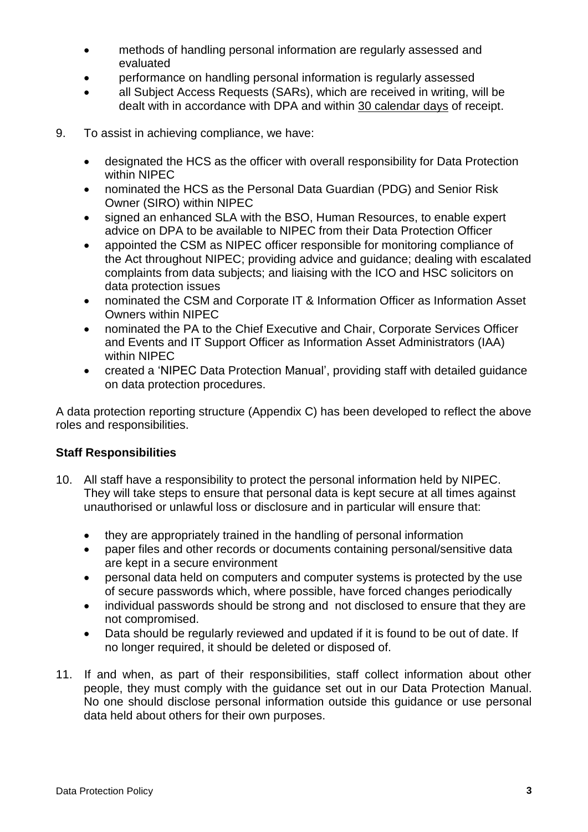- methods of handling personal information are regularly assessed and evaluated
- performance on handling personal information is regularly assessed
- all Subject Access Requests (SARs), which are received in writing, will be dealt with in accordance with DPA and within 30 calendar days of receipt.
- 9. To assist in achieving compliance, we have:
	- designated the HCS as the officer with overall responsibility for Data Protection within NIPEC
	- nominated the HCS as the Personal Data Guardian (PDG) and Senior Risk Owner (SIRO) within NIPEC
	- signed an enhanced SLA with the BSO, Human Resources, to enable expert advice on DPA to be available to NIPEC from their Data Protection Officer
	- appointed the CSM as NIPEC officer responsible for monitoring compliance of the Act throughout NIPEC; providing advice and guidance; dealing with escalated complaints from data subjects; and liaising with the ICO and HSC solicitors on data protection issues
	- nominated the CSM and Corporate IT & Information Officer as Information Asset Owners within NIPEC
	- nominated the PA to the Chief Executive and Chair, Corporate Services Officer and Events and IT Support Officer as Information Asset Administrators (IAA) within NIPEC
	- created a 'NIPEC Data Protection Manual', providing staff with detailed guidance on data protection procedures.

A data protection reporting structure (Appendix C) has been developed to reflect the above roles and responsibilities.

#### **Staff Responsibilities**

- 10. All staff have a responsibility to protect the personal information held by NIPEC. They will take steps to ensure that personal data is kept secure at all times against unauthorised or unlawful loss or disclosure and in particular will ensure that:
	- they are appropriately trained in the handling of personal information
	- paper files and other records or documents containing personal/sensitive data are kept in a secure environment
	- personal data held on computers and computer systems is protected by the use of secure passwords which, where possible, have forced changes periodically
	- individual passwords should be strong and not disclosed to ensure that they are not compromised.
	- Data should be regularly reviewed and updated if it is found to be out of date. If no longer required, it should be deleted or disposed of.
- 11. If and when, as part of their responsibilities, staff collect information about other people, they must comply with the guidance set out in our Data Protection Manual. No one should disclose personal information outside this guidance or use personal data held about others for their own purposes.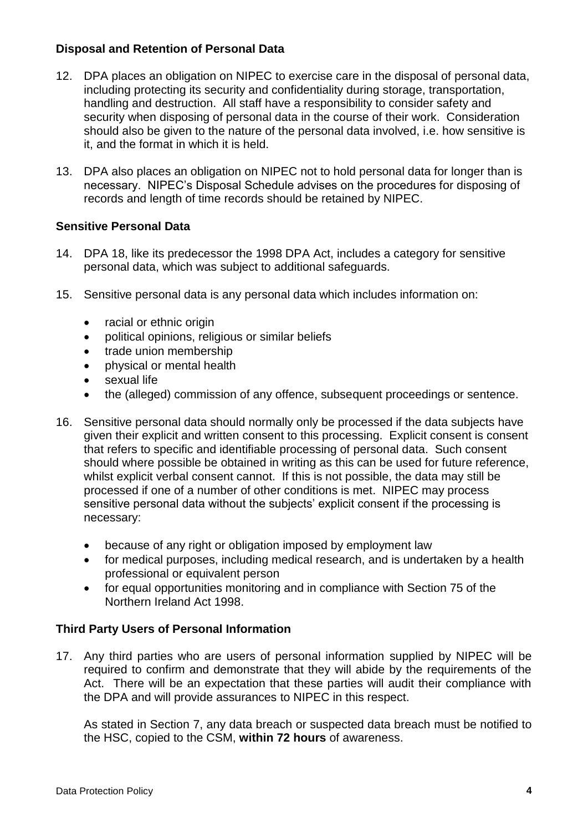#### **Disposal and Retention of Personal Data**

- 12. DPA places an obligation on NIPEC to exercise care in the disposal of personal data, including protecting its security and confidentiality during storage, transportation, handling and destruction. All staff have a responsibility to consider safety and security when disposing of personal data in the course of their work. Consideration should also be given to the nature of the personal data involved, i.e. how sensitive is it, and the format in which it is held.
- 13. DPA also places an obligation on NIPEC not to hold personal data for longer than is necessary. NIPEC's Disposal Schedule advises on the procedures for disposing of records and length of time records should be retained by NIPEC.

#### **Sensitive Personal Data**

- 14. DPA 18, like its predecessor the 1998 DPA Act, includes a category for sensitive personal data, which was subject to additional safeguards.
- 15. Sensitive personal data is any personal data which includes information on:
	- racial or ethnic origin
	- political opinions, religious or similar beliefs
	- trade union membership
	- physical or mental health
	- sexual life
	- the (alleged) commission of any offence, subsequent proceedings or sentence.
- 16. Sensitive personal data should normally only be processed if the data subjects have given their explicit and written consent to this processing. Explicit consent is consent that refers to specific and identifiable processing of personal data. Such consent should where possible be obtained in writing as this can be used for future reference, whilst explicit verbal consent cannot. If this is not possible, the data may still be processed if one of a number of other conditions is met. NIPEC may process sensitive personal data without the subjects' explicit consent if the processing is necessary:
	- because of any right or obligation imposed by employment law
	- for medical purposes, including medical research, and is undertaken by a health professional or equivalent person
	- for equal opportunities monitoring and in compliance with Section 75 of the Northern Ireland Act 1998.

#### **Third Party Users of Personal Information**

17. Any third parties who are users of personal information supplied by NIPEC will be required to confirm and demonstrate that they will abide by the requirements of the Act. There will be an expectation that these parties will audit their compliance with the DPA and will provide assurances to NIPEC in this respect.

As stated in Section 7, any data breach or suspected data breach must be notified to the HSC, copied to the CSM, **within 72 hours** of awareness.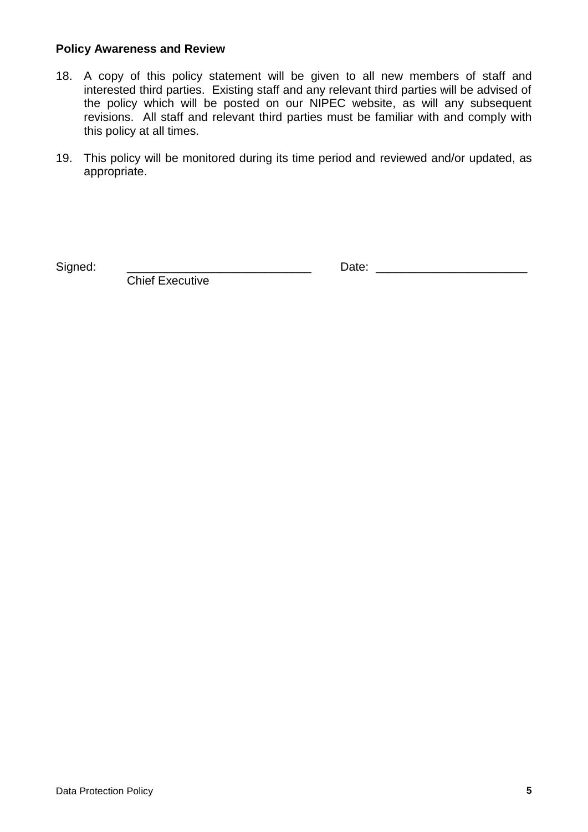#### **Policy Awareness and Review**

- 18. A copy of this policy statement will be given to all new members of staff and interested third parties. Existing staff and any relevant third parties will be advised of the policy which will be posted on our NIPEC website, as will any subsequent revisions. All staff and relevant third parties must be familiar with and comply with this policy at all times.
- 19. This policy will be monitored during its time period and reviewed and/or updated, as appropriate.

Signed: \_\_\_\_\_\_\_\_\_\_\_\_\_\_\_\_\_\_\_\_\_\_\_\_\_\_\_\_ Date: \_\_\_\_\_\_\_\_\_\_\_\_\_\_\_\_\_\_\_\_\_\_\_

Chief Executive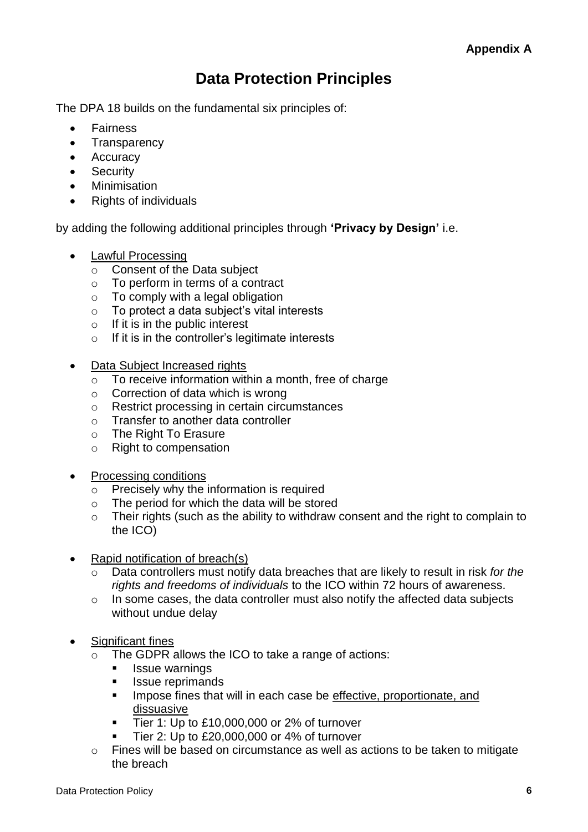## **Data Protection Principles**

The DPA 18 builds on the fundamental six principles of:

- Fairness
- Transparency
- Accuracy
- Security
- Minimisation
- Rights of individuals

by adding the following additional principles through **'Privacy by Design'** i.e.

- Lawful Processing
	- o Consent of the Data subject
	- o To perform in terms of a contract
	- $\circ$  To comply with a legal obligation
	- $\circ$  To protect a data subject's vital interests
	- $\circ$  If it is in the public interest
	- $\circ$  If it is in the controller's legitimate interests
- Data Subject Increased rights
	- $\circ$  To receive information within a month, free of charge
	- $\circ$  Correction of data which is wrong
	- o Restrict processing in certain circumstances
	- o Transfer to another data controller
	- o The Right To Erasure
	- o Right to compensation
- Processing conditions
	- o Precisely why the information is required
	- o The period for which the data will be stored
	- o Their rights (such as the ability to withdraw consent and the right to complain to the ICO)
- Rapid notification of breach(s)
	- Data controllers must notify data breaches that are likely to result in risk *for the rights and freedoms of individuals* to the ICO within 72 hours of awareness.
	- o In some cases, the data controller must also notify the affected data subjects without undue delay
- Significant fines
	- o The GDPR allows the ICO to take a range of actions:
		- **ISSUE warnings**
		- **In Issue reprimands**
		- **IMPOON** Impose fines that will in each case be effective, proportionate, and dissuasive
		- Tier 1: Up to £10,000,000 or 2% of turnover
		- Tier 2: Up to £20,000,000 or 4% of turnover
	- o Fines will be based on circumstance as well as actions to be taken to mitigate the breach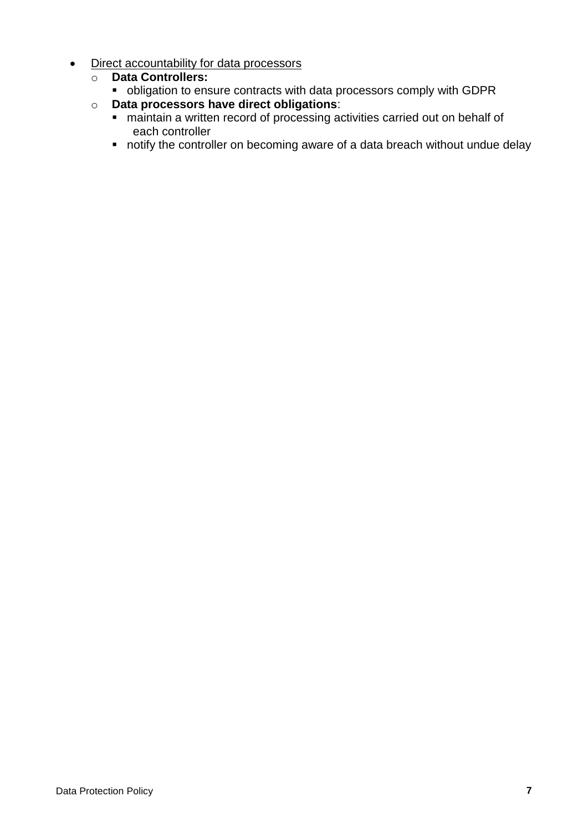- Direct accountability for data processors
	- o **Data Controllers:**
		- obligation to ensure contracts with data processors comply with GDPR
	- o **Data processors have direct obligations**:
		- maintain a written record of processing activities carried out on behalf of each controller
		- notify the controller on becoming aware of a data breach without undue delay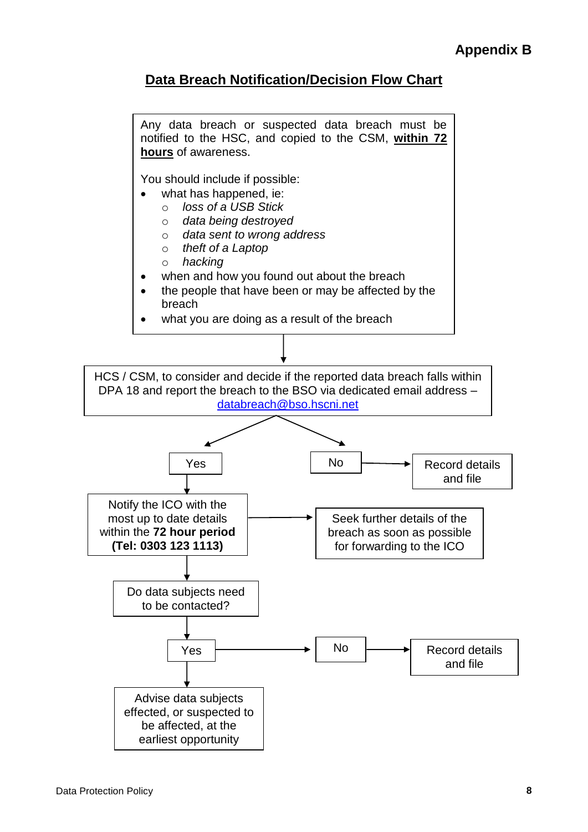### **Data Breach Notification/Decision Flow Chart**